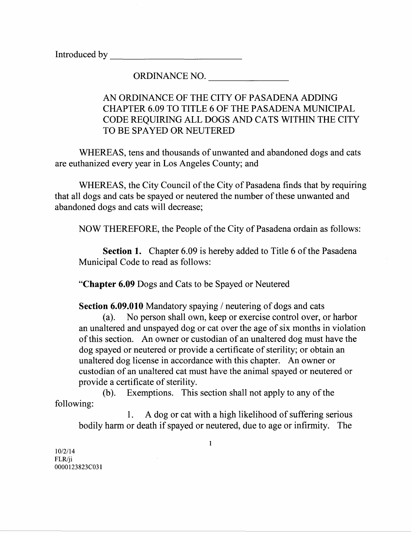Introduced by \_\_\_\_\_\_\_\_\_\_\_\_ \_

ORDINANCE NO.

## AN ORDINANCE OF THE CITY OF PASADENA ADDING CHAPTER 6.09 TO TITLE 6 OF THE PASADENA MUNICIPAL CODE REQUIRING ALL DOGS AND CATS WITHIN THE CITY TO BE SPAYED OR NEUTERED

WHEREAS, tens and thousands of unwanted and abandoned dogs and cats are euthanized every year in Los Angeles County; and

WHEREAS, the City Council of the City of Pasadena finds that by requiring that all dogs and cats be spayed or neutered the number of these unwanted and abandoned dogs and cats will decrease;

NOW THEREFORE, the People of the City of Pasadena ordain as follows:

**Section 1.** Chapter 6.09 is hereby added to Title 6 of the Pasadena Municipal Code to read as follows:

**"Chapter 6.09** Dogs and Cats to be Spayed or Neutered

**Section 6.09.010** Mandatory spaying / neutering of dogs and cats

(a). No person shall own, keep or exercise control over, or harbor an unaltered and unspayed dog or cat over the age of six months in violation of this section. An owner or custodian of an unaltered dog must have the dog spayed or neutered or provide a certificate of sterility; or obtain an unaltered dog license in accordance with this chapter. An owner or custodian of an unaltered cat must have the animal spayed or neutered or provide a certificate of sterility.

(b). Exemptions. This section shall not apply to any of the following:

1. A dog or cat with a high likelihood of suffering serious bodily harm or death if spayed or neutered, due to age or infirmity. The

 $\mathbf{1}$ 

10/2114 FLR/ji 0000123823C031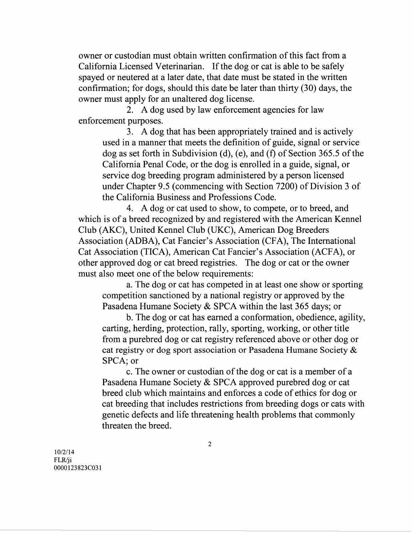owner or custodian must obtain written confirmation of this fact from a California Licensed Veterinarian. If the dog or cat is able to be safely spayed or neutered at a later date, that date must be stated in the written confirmation; for dogs, should this date be later than thirty (30) days, the owner must apply for an unaltered dog license.

2. A dog used by law enforcement agencies for law enforcement purposes.

3. A dog that has been appropriately trained and is actively used in a manner that meets the definition of guide, signal or service dog as set forth in Subdivision (d), (e), and (f) of Section 365.5 of the California Penal Code, or the dog is enrolled in a guide, signal, or service dog breeding program administered by a person licensed under Chapter 9.5 (commencing with Section 7200) of Division 3 of the California Business and Professions Code.

4. A dog or cat used to show, to compete, or to breed, and which is of a breed recognized by and registered with the American Kennel Club (AKC), United Kennel Club (UKC), American Dog Breeders Association (ADBA), Cat Fancier's Association (CFA), The International Cat Association (TICA), American Cat Fancier's Association (ACFA), or other approved dog or cat breed registries. The dog or cat or the owner must also meet one of the below requirements:

a. The dog or cat has competed in at least one show or sporting competition sanctioned by a national registry or approved by the Pasadena Humane Society & SPCA within the last 365 days; or

b. The dog or cat has earned a conformation, obedience, agility, carting, herding, protection, rally, sporting, working, or other title from a purebred dog or cat registry referenced above or other dog or cat registry or dog sport association or Pasadena Humane Society & SPCA; or

c. The owner or custodian of the dog or cat is a member of a Pasadena Humane Society & SPCA approved purebred dog or cat breed club which maintains and enforces a code of ethics for dog or cat breeding that includes restrictions from breeding dogs or cats with genetic defects and life threatening health problems that commonly threaten the breed.

10/2114 FLR/ji 0000123823C031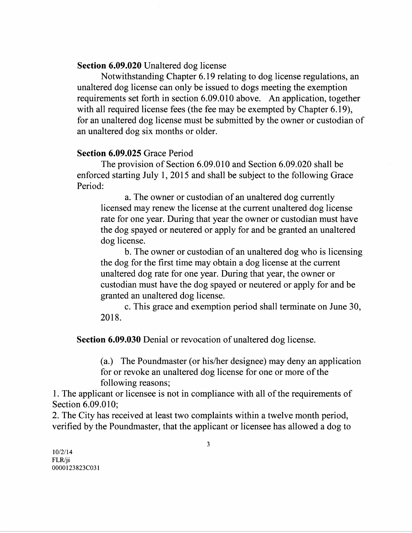**Section 6.09.020** Unaltered dog license

Notwithstanding Chapter 6.19 relating to dog license regulations, an unaltered dog license can only be issued to dogs meeting the exemption requirements set forth in section 6.09 .010 above. An application, together with all required license fees (the fee may be exempted by Chapter 6.19), for an unaltered dog license must be submitted by the owner or custodian of an unaltered dog six months or older.

## **Section 6.09.025** Grace Period

The provision of Section 6.09 .010 and Section 6.09.020 shall be enforced starting July 1, 2015 and shall be subject to the following Grace Period:

a. The owner or custodian of an unaltered dog currently licensed may renew the license at the current unaltered dog license rate for one year. During that year the owner or custodian must have the dog spayed or neutered or apply for and be granted an unaltered dog license.

b. The owner or custodian of an unaltered dog who is licensing the dog for the first time may obtain a dog license at the current unaltered dog rate for one year. During that year, the owner or custodian must have the dog spayed or neutered or apply for and be granted an unaltered dog license.

c. This grace and exemption period shall terminate on June 30, 2018.

**Section 6.09.030** Denial or revocation of unaltered dog license.

(a.) The Poundmaster (or his/her designee) may deny an application for or revoke an unaltered dog license for one or more of the following reasons;

1. The applicant or licensee is not in compliance with all of the requirements of Section 6.09.010;

2. The City has received at least two complaints within a twelve month period, verified by the Poundmaster, that the applicant or licensee has allowed a dog to

10/2/14 FLR/ji 0000123 823C031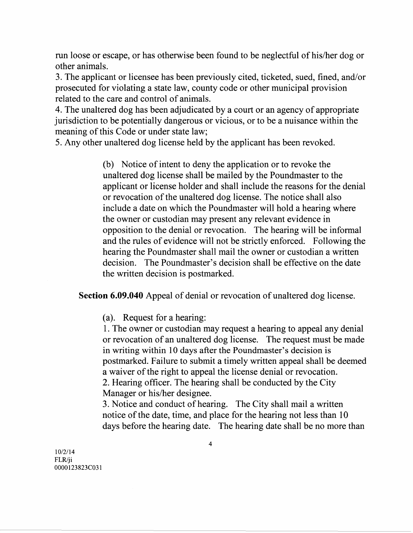run loose or escape, or has otherwise been found to be neglectful of his/her dog or other animals.

3. The applicant or licensee has been previously cited, ticketed, sued, fined, and/or prosecuted for violating a state law, county code or other municipal provision related to the care and control of animals.

4. The unaltered dog has been adjudicated by a court or an agency of appropriate jurisdiction to be potentially dangerous or vicious, or to be a nuisance within the meaning of this Code or under state law;

5. Any other unaltered dog license held by the applicant has been revoked.

(b) Notice of intent to deny the application or to revoke the unaltered dog license shall be mailed by the Poundmaster to the applicant or license holder and shall include the reasons for the denial or revocation of the unaltered dog license. The notice shall also include a date on which the Poundmaster will hold a hearing where the owner or custodian may present any relevant evidence in opposition to the denial or revocation. The hearing will be informal and the rules of evidence will not be strictly enforced. Following the hearing the Poundmaster shall mail the owner or custodian a written decision. The Poundmaster's decision shall be effective on the date the written decision is postmarked.

**Section 6.09.040** Appeal of denial or revocation of unaltered dog license.

(a). Request for a hearing:

1. The owner or custodian may request a hearing to appeal any denial or revocation of an unaltered dog license. The request must be made in writing within 10 days after the Poundmaster's decision is postmarked. Failure to submit a timely written appeal shall be deemed a waiver of the right to appeal the license denial or revocation. 2. Hearing officer. The hearing shall be conducted by the City Manager or his/her designee.

3. Notice and conduct of hearing. The City shall mail a written notice of the date, time, and place for the hearing not less than 10 days before the hearing date. The hearing date shall be no more than

10/2/14 FLR/ji 0000123823C031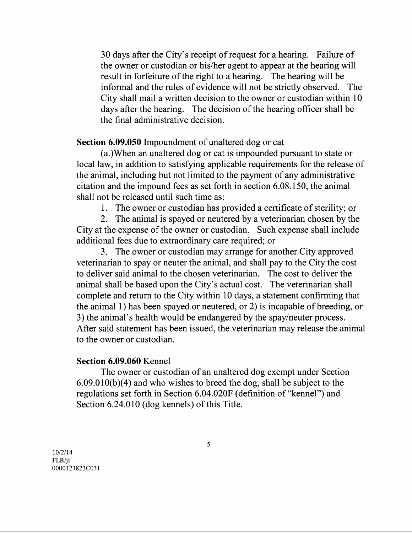30 days after the City's receipt of request for a hearing. Failure of the owner or custodian or his/her agent to appear at the hearing will result in forfeiture of the right to a hearing. The hearing will be informal and the rules of evidence will not be strictly observed. The City shall mail a written decision to the owner or custodian within 10 days after the hearing. The decision of the hearing officer shall be the final administrative decision.

**Section 6.09.050** Impoundment of unaltered dog or cat

(a.)When an unaltered dog or cat is impounded pursuant to state or local law, in addition to satisfying applicable requirements for the release of the animal, including but not limited to the payment of any administrative citation and the impound fees as set forth in section 6.08.150, the animal shall not be released until such time as:

1. The owner or custodian has provided a certificate of sterility; or

2. The animal is spayed or neutered by a veterinarian chosen by the City at the expense of the owner or custodian. Such expense shall include additional fees due to extraordinary care required; or

3. The owner or custodian may arrange for another City approved veterinarian to spay or neuter the animal, and shall pay to the City the cost to deliver said animal to the chosen veterinarian. The cost to deliver the animal shall be based upon the City's actual cost. The veterinarian shall complete and return to the City within 10 days, a statement confirming that the animal 1) has been spayed or neutered, or 2) is incapable of breeding, or 3) the animal's health would be endangered by the spay/neuter process. After said statement has been issued, the veterinarian may release the animal to the owner or custodian.

## **Section 6.09.060** Kennel

The owner or custodian of an unaltered dog exempt under Section 6.09.010(b)(4) and who wishes to breed the dog, shall be subject to the regulations set forth in Section 6.04.020F (definition of "kennel") and Section 6.24.010 (dog kennels) of this Title.

10/2/14 FLR/ji 0000123823C031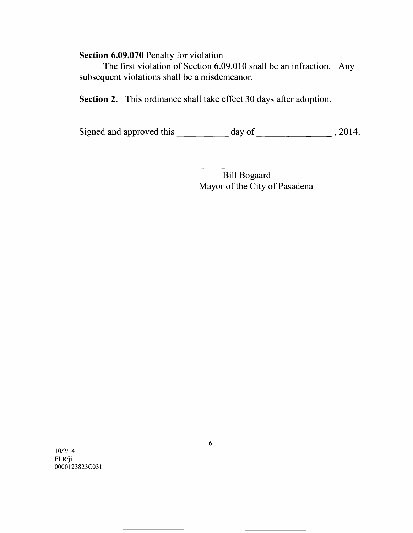## **Section 6.09.070** Penalty for violation

The first violation of Section 6.09 .010 shall be an infraction. Any subsequent violations shall be a misdemeanor.

**Section** 2. This ordinance shall take effect 30 days after adoption.

Signed and approved this \_\_\_\_\_ day of \_\_\_\_\_\_\_ , 2014.

Bill Bogaard Mayor of the City of Pasadena

10/2/14 FLR/ji 0000123823C031